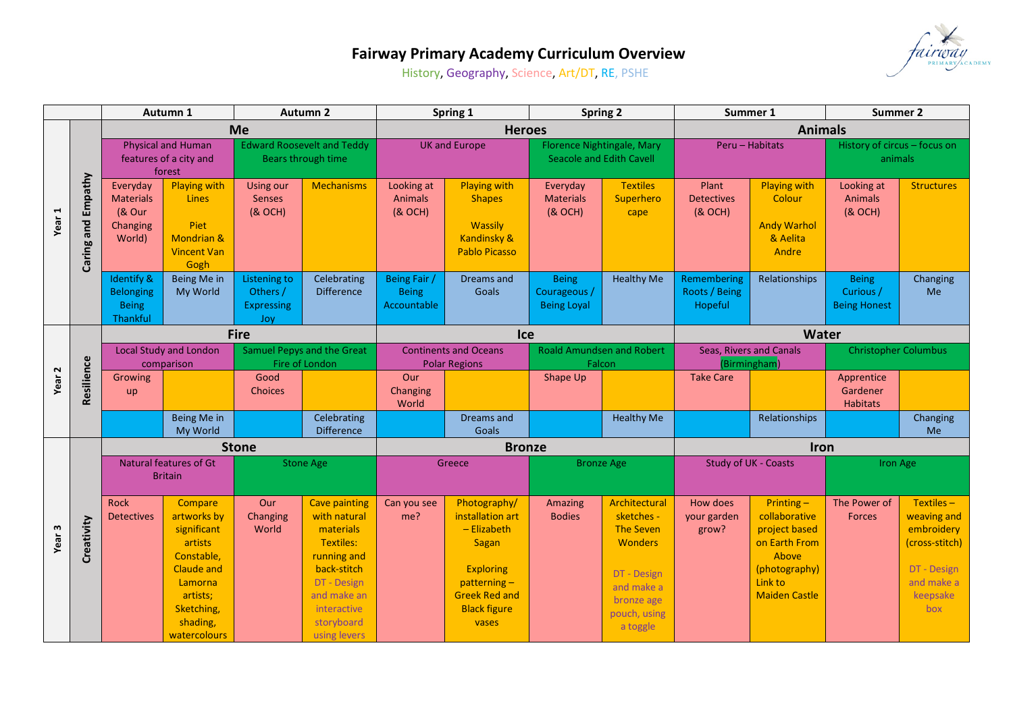

## **Fairway Primary Academy Curriculum Overview**

History, Geography, Science, Art/DT, RE, PSHE

|                   |                       | Autumn 1                                                      |                                                                                                                                                      | <b>Autumn 2</b>                                         |                                                                                                                                                                         | Spring 1                                             |                                                                                                                                                        | <b>Spring 2</b>                                               |                                                                                                                                          | Summer 1<br>Summer 2                    |                                                                                                                              |                                                  |                                                                                                          |
|-------------------|-----------------------|---------------------------------------------------------------|------------------------------------------------------------------------------------------------------------------------------------------------------|---------------------------------------------------------|-------------------------------------------------------------------------------------------------------------------------------------------------------------------------|------------------------------------------------------|--------------------------------------------------------------------------------------------------------------------------------------------------------|---------------------------------------------------------------|------------------------------------------------------------------------------------------------------------------------------------------|-----------------------------------------|------------------------------------------------------------------------------------------------------------------------------|--------------------------------------------------|----------------------------------------------------------------------------------------------------------|
|                   |                       |                                                               |                                                                                                                                                      | <b>Me</b>                                               |                                                                                                                                                                         | <b>Heroes</b>                                        |                                                                                                                                                        |                                                               |                                                                                                                                          | <b>Animals</b>                          |                                                                                                                              |                                                  |                                                                                                          |
| Year              | Empathy<br>Caring and | <b>Physical and Human</b><br>features of a city and<br>forest |                                                                                                                                                      | <b>Edward Roosevelt and Teddy</b><br>Bears through time |                                                                                                                                                                         | <b>UK and Europe</b>                                 |                                                                                                                                                        | Florence Nightingale, Mary<br><b>Seacole and Edith Cavell</b> |                                                                                                                                          | Peru - Habitats                         |                                                                                                                              | History of circus - focus on<br>animals          |                                                                                                          |
|                   |                       | Everyday<br><b>Materials</b><br>(& Our<br>Changing<br>World)  | <b>Playing with</b><br>Lines<br>Piet<br><b>Mondrian &amp;</b><br><b>Vincent Van</b><br>Gogh                                                          | Using our<br><b>Senses</b><br>(& OCH)                   | <b>Mechanisms</b>                                                                                                                                                       | Looking at<br><b>Animals</b><br>(& OCH)              | <b>Playing with</b><br><b>Shapes</b><br>Wassily<br>Kandinsky &<br><b>Pablo Picasso</b>                                                                 | Everyday<br><b>Materials</b><br>(& OCH)                       | <b>Textiles</b><br>Superhero<br>cape                                                                                                     | Plant<br><b>Detectives</b><br>(& OCH)   | <b>Playing with</b><br>Colour<br><b>Andy Warhol</b><br>& Aelita<br>Andre                                                     | Looking at<br><b>Animals</b><br>(& OCH)          | <b>Structures</b>                                                                                        |
|                   |                       | Identify &<br><b>Belonging</b><br><b>Being</b><br>Thankful    | Being Me in<br>My World                                                                                                                              | Listening to<br>Others /<br><b>Expressing</b><br>Joy    | Celebrating<br><b>Difference</b>                                                                                                                                        | Being Fair /<br><b>Being</b><br>Accountable          | Dreams and<br>Goals                                                                                                                                    | <b>Being</b><br>Courageous /<br><b>Being Loyal</b>            | <b>Healthy Me</b>                                                                                                                        | Remembering<br>Roots / Being<br>Hopeful | Relationships                                                                                                                | <b>Being</b><br>Curious /<br><b>Being Honest</b> | Changing<br>Me                                                                                           |
|                   |                       |                                                               |                                                                                                                                                      | <b>Fire</b>                                             |                                                                                                                                                                         |                                                      | <b>Ice</b>                                                                                                                                             |                                                               |                                                                                                                                          | <b>Water</b>                            |                                                                                                                              |                                                  |                                                                                                          |
|                   | Resilience            | <b>Local Study and London</b><br>comparison                   |                                                                                                                                                      | Samuel Pepys and the Great<br>Fire of London            |                                                                                                                                                                         | <b>Continents and Oceans</b><br><b>Polar Regions</b> |                                                                                                                                                        | <b>Roald Amundsen and Robert</b><br>Falcon                    |                                                                                                                                          | Seas, Rivers and Canals<br>(Birmingham) |                                                                                                                              | <b>Christopher Columbus</b>                      |                                                                                                          |
| Year <sub>2</sub> |                       | Growing<br>up                                                 |                                                                                                                                                      | Good<br><b>Choices</b>                                  |                                                                                                                                                                         | Our<br>Changing<br>World                             |                                                                                                                                                        | Shape Up                                                      |                                                                                                                                          | <b>Take Care</b>                        |                                                                                                                              | Apprentice<br>Gardener<br><b>Habitats</b>        |                                                                                                          |
|                   |                       |                                                               | Being Me in<br>My World                                                                                                                              |                                                         | Celebrating<br><b>Difference</b>                                                                                                                                        |                                                      | Dreams and<br>Goals                                                                                                                                    |                                                               | <b>Healthy Me</b>                                                                                                                        |                                         | Relationships                                                                                                                |                                                  | Changing<br><b>Me</b>                                                                                    |
|                   |                       |                                                               |                                                                                                                                                      | <b>Stone</b>                                            |                                                                                                                                                                         |                                                      | <b>Bronze</b>                                                                                                                                          |                                                               |                                                                                                                                          | <b>Iron</b>                             |                                                                                                                              |                                                  |                                                                                                          |
|                   |                       | <b>Natural features of Gt</b><br><b>Britain</b>               |                                                                                                                                                      |                                                         | <b>Stone Age</b>                                                                                                                                                        | Greece                                               |                                                                                                                                                        | <b>Bronze Age</b>                                             |                                                                                                                                          | <b>Study of UK - Coasts</b>             |                                                                                                                              | Iron Age                                         |                                                                                                          |
| Year <sub>3</sub> | Creativity            | Rock<br><b>Detectives</b>                                     | Compare<br>artworks by<br>significant<br>artists<br>Constable,<br><b>Claude and</b><br>Lamorna<br>artists;<br>Sketching,<br>shading,<br>watercolours | Our<br>Changing<br>World                                | <b>Cave painting</b><br>with natural<br>materials<br>Textiles:<br>running and<br>back-stitch<br>DT - Design<br>and make an<br>interactive<br>storyboard<br>using levers | Can you see<br>me?                                   | Photography/<br>installation art<br>- Elizabeth<br>Sagan<br><b>Exploring</b><br>$patterning -$<br><b>Greek Red and</b><br><b>Black figure</b><br>vases | Amazing<br><b>Bodies</b>                                      | Architectural<br>sketches -<br><b>The Seven</b><br><b>Wonders</b><br>DT - Design<br>and make a<br>bronze age<br>pouch, using<br>a toggle | How does<br>your garden<br>grow?        | Printing $-$<br>collaborative<br>project based<br>on Earth From<br>Above<br>(photography)<br>Link to<br><b>Maiden Castle</b> | The Power of<br><b>Forces</b>                    | Textiles-<br>weaving and<br>embroidery<br>(cross-stitch)<br>DT - Design<br>and make a<br>keepsake<br>box |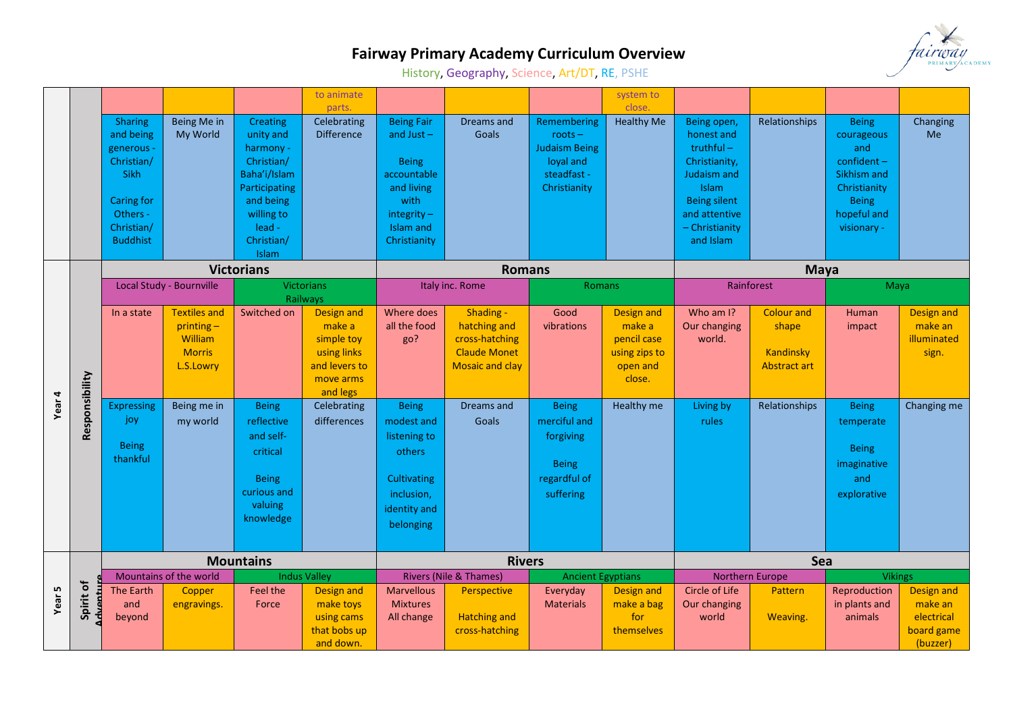

## **Fairway Primary Academy Curriculum Overview**

History, Geography, Science, Art/DT, RE, PSHE

|        |                            |                                                                                                                                          |                                                                              |                                                                                                                                                      | to animate                                                                                         |                                                                                                                                   |                                                                                              |                                                                                              | system to                                                                         |                                                                                                                                                           |                                                                |                                                                                                                                 |                                                               |
|--------|----------------------------|------------------------------------------------------------------------------------------------------------------------------------------|------------------------------------------------------------------------------|------------------------------------------------------------------------------------------------------------------------------------------------------|----------------------------------------------------------------------------------------------------|-----------------------------------------------------------------------------------------------------------------------------------|----------------------------------------------------------------------------------------------|----------------------------------------------------------------------------------------------|-----------------------------------------------------------------------------------|-----------------------------------------------------------------------------------------------------------------------------------------------------------|----------------------------------------------------------------|---------------------------------------------------------------------------------------------------------------------------------|---------------------------------------------------------------|
|        |                            | <b>Sharing</b><br>and being<br>generous -<br>Christian/<br><b>Sikh</b><br><b>Caring for</b><br>Others -<br>Christian/<br><b>Buddhist</b> | Being Me in<br>My World                                                      | <b>Creating</b><br>unity and<br>harmony -<br>Christian/<br>Baha'i/Islam<br>Participating<br>and being<br>willing to<br>lead -<br>Christian/<br>Islam | parts.<br>Celebrating<br><b>Difference</b>                                                         | <b>Being Fair</b><br>and Just $-$<br><b>Being</b><br>accountable<br>and living<br>with<br>integrity-<br>Islam and<br>Christianity | Dreams and<br>Goals                                                                          | Remembering<br>$roots -$<br><b>Judaism Being</b><br>loval and<br>steadfast -<br>Christianity | close.<br><b>Healthy Me</b>                                                       | Being open,<br>honest and<br>$truthful -$<br>Christianity,<br>Judaism and<br>Islam<br><b>Being silent</b><br>and attentive<br>- Christianity<br>and Islam | Relationships                                                  | <b>Being</b><br>courageous<br>and<br>$confident -$<br>Sikhism and<br>Christianity<br><b>Being</b><br>hopeful and<br>visionary - | Changing<br>Me                                                |
|        |                            | <b>Victorians</b>                                                                                                                        |                                                                              |                                                                                                                                                      |                                                                                                    |                                                                                                                                   | <b>Romans</b>                                                                                |                                                                                              |                                                                                   | <b>Maya</b>                                                                                                                                               |                                                                |                                                                                                                                 |                                                               |
|        |                            | Local Study - Bournville                                                                                                                 |                                                                              | <b>Victorians</b><br>Railways                                                                                                                        |                                                                                                    | Italy inc. Rome                                                                                                                   |                                                                                              | <b>Romans</b>                                                                                |                                                                                   | Rainforest                                                                                                                                                |                                                                | Maya                                                                                                                            |                                                               |
| Year 4 |                            | In a state                                                                                                                               | <b>Textiles and</b><br>$printing -$<br>William<br><b>Morris</b><br>L.S.Lowry | Switched on                                                                                                                                          | <b>Design and</b><br>make a<br>simple toy<br>using links<br>and levers to<br>move arms<br>and legs | Where does<br>all the food<br>go?                                                                                                 | Shading -<br>hatching and<br>cross-hatching<br><b>Claude Monet</b><br><b>Mosaic and clay</b> | Good<br>vibrations                                                                           | <b>Design and</b><br>make a<br>pencil case<br>using zips to<br>open and<br>close. | Who am I?<br>Our changing<br>world.                                                                                                                       | <b>Colour and</b><br>shape<br>Kandinsky<br><b>Abstract art</b> | Human<br>impact                                                                                                                 | Design and<br>make an<br>illuminated<br>sign.                 |
|        | Responsibility             | Expressing<br>joy<br><b>Being</b><br>thankful                                                                                            | Being me in<br>my world                                                      | <b>Being</b><br>reflective<br>and self-<br>critical<br><b>Being</b><br>curious and<br>valuing<br>knowledge                                           | Celebrating<br>differences                                                                         | <b>Being</b><br>modest and<br>listening to<br>others<br>Cultivating<br>inclusion,<br>identity and<br>belonging                    | Dreams and<br>Goals                                                                          | <b>Being</b><br>merciful and<br>forgiving<br><b>Being</b><br>regardful of<br>suffering       | Healthy me                                                                        | Living by<br>rules                                                                                                                                        | Relationships                                                  | <b>Being</b><br>temperate<br><b>Being</b><br>imaginative<br>and<br>explorative                                                  | Changing me                                                   |
|        |                            |                                                                                                                                          |                                                                              | <b>Mountains</b>                                                                                                                                     |                                                                                                    | <b>Rivers</b>                                                                                                                     |                                                                                              |                                                                                              |                                                                                   | Sea                                                                                                                                                       |                                                                |                                                                                                                                 |                                                               |
| Year 5 |                            |                                                                                                                                          | Mountains of the world                                                       |                                                                                                                                                      | <b>Indus Valley</b>                                                                                |                                                                                                                                   | <b>Rivers (Nile &amp; Thames)</b>                                                            | <b>Ancient Egyptians</b>                                                                     |                                                                                   |                                                                                                                                                           | Northern Europe                                                | <b>Vikings</b>                                                                                                                  |                                                               |
|        | Spirit of<br><b>Myentu</b> | The Earth<br>and<br>beyond                                                                                                               | Copper<br>engravings.                                                        | Feel the<br>Force                                                                                                                                    | <b>Design and</b><br>make toys<br>using cams<br>that bobs up<br>and down.                          | <b>Marvellous</b><br><b>Mixtures</b><br>All change                                                                                | Perspective<br><b>Hatching and</b><br>cross-hatching                                         | Everyday<br><b>Materials</b>                                                                 | <b>Design and</b><br>make a bag<br>for<br>themselves                              | <b>Circle of Life</b><br><b>Our changing</b><br>world                                                                                                     | Pattern<br>Weaving.                                            | Reproduction<br>in plants and<br>animals                                                                                        | Design and<br>make an<br>electrical<br>board game<br>(buzzer) |